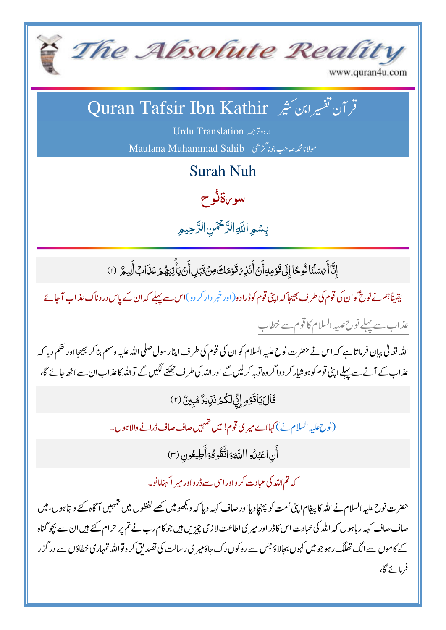

www.quran4u.com

## قر آن تفسيرابن كثير Quran Tafsir Ibn Kathir

اردوترجمه Urdu Translation مولانامجمەصاحب جوناگڑھی Maulana Muhammad Sahib

**Surah Nuh** 

سو بن**ڌنُ**و ح

بسمو اللّهِ الرَّحْمَنِ الرَّحِيمِ

إِنَّا أَبْسَلْنَا نُوحًا إِلَى قَوْمِهِ أَنْ أَنْذِ، قَوْمَكَ مِنْ قَبْلِ أَنْ يَأْتِيَهُمْ عَذَابٌ أَلِيمٌ (١)

یقیناًہم نے نوح گوان کی قوم کی طرف بھیجا کہ اپنی قوم کوڈرادو(اور خمر دار کر دو)اس سے پہلے کہ ان کے پاس درد ناک عذاب آجائے عذاب سے پہلے نوح علیہ السلام کا قوم سے خطاب

اللہ تعالیٰ بیان فرماتا ہے کہ اس نے حضرت نوح علیہ السلام کو ان کی قوم کی طرف اپنار سول صلی اللہ علیہ وسلم بنا کر بھیجا اور حکم دیا کہ عذاب کے آنے سے پہلے اپنی قوم کو ہوشیار کر دواگر وہ توبہ کرلیں گے اور اللہ کی طرف چھکنے لگیں گے تواللہ کاعذاب ان سے اٹھ حائے گا،

قَالَ يَأْقَوُمِ إِنِّي لَكُمْ نَزِيرٌ مُبِينٌ (٢)

(نوح علیہ السلام نے) کہااے میر کی قوم! میں خمہیں صاف صاف ڈرانے والاہوں۔

أَن اعْبُدُوا اللَّهَوَاتَّقُوهُوَأَطِيعُون (٣)

کہ تم اللہ کی عبادت کر واور اسی سے ڈرواور میر اکہنامانو۔

حضرت نوح عليه السلام نے اللہ کا پيغام اپنی اُمت کو پہنچادیااور صاف کہہ دیا کہ دیکھو میں کھلے لفظوں میں تمہیں آگاہ کئے دیتاہوں، میں صاف صاف کہہ ر ہاہوں کہ اللہ کی عبادت اس کاڈر اور میر کی اطاعت لاز می چیزیں ہیں جو کام رب نے تم پر حرام کئے ہیں ان سے بچو گناہ کے کاموں سے الگ تھلگ رہو جو میں کہوں بجالاؤ جس سے روکوں رک جاؤمیر ی رسالت کی تصدیق کر وقواللہ تمہاری خطاؤں سے در گزر فرمائے گا،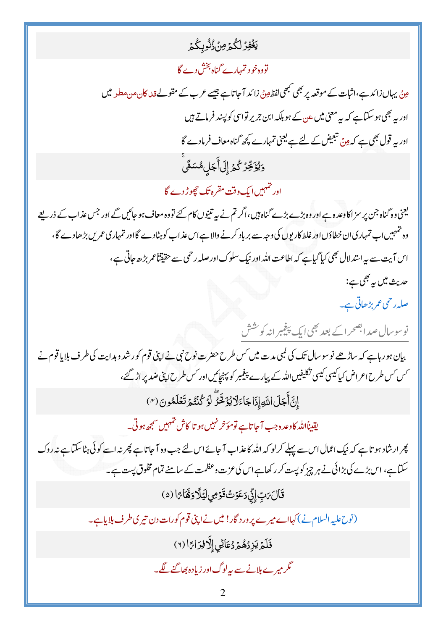<u>يَغُفِرُ لِكُمُ</u> مِنْ ُنُوبِكُمُ

## تووہ خو د تمہارے گناہ بخش دے گا

مِنْ یہاں زائد ہے،اثبات کے موقعہ پر بھی مجھی افظ ہینؑ زائد آ جا تاہے جیسے عرب کے مقولےقد<sub>ا ک</sub>ان میں مطیر میں اور یہ بھی ہو سکتاہے کہ یہ معنی میں عن کے ہو بلکہ ابن جریر تواسی کو پسند فرماتے ہیں اور بہ قول بھی ہے کہ ہِنْ تبعیض کے لئے ہے لیجنی تمہارے کچھ گناہ معاف فرمادے گا ۏ*ێ۠ۏۧڿۨۯٙ*ػ۠ؽٙٳ۪ڶٙٲۜڿڸۿۺڡٞؖٞ

اور تہہیں ایک وقت مقرہ تک حجیوڑ دے گا

یعنی وہ گناہ جن پر سز اکاوعدہ ہے اور وہ بڑے بڑے گناہ ہیں،اگر تم نے پیہ تنیوں کام کئے تووہ معاف ہو جائیں گے اور جس عذاب کے ذریعے وہ تہہیں اب تمہاری ان خطاؤں اور غلط کاریوں کی وجہ سے بر باد کرنے والا ہے اس عذ اب کو ہٹادے گااور تمہاری عمر بں بڑھادے گا، اس آیت سے پہ استدلال بھی کیا گیاہے کہ اطاعت اللہ اور نیک سلوک اور صلہ رحمی سے حقیقتاًعمر بڑھ جاتی ہے، حديث ميں بہ بھي ہے:

صلہ رحمی عمر بڑھاتی ہے۔

نوسوسال صدابصحراکے بعد بھی ایک پیغیمرانہ کو شش

بیان ہو رہاہے کہ ساڑھے نوسوسال تک کی کمبی مدت میں کس طرح حضرت نوح نبی نے اپنی قوم کورشد و ہدایت کی طرف بلایا قوم نے کس کس طرح اعراض کیا کیسی کیسی تکلیفیں اللہ کے پیارے پیغیبر کو پہنچائیں اور کس طرح اپنی ضدیر اڑ گئے، إِنَّ أَجَلَ اللَّهِ إِذَاجَاءَلَا يُؤَخَّرُ لَوَ كُنُتُمَ تَعَلَّمُونَ (٣)

یقیناًاللہ کاوعدہ جب آ جاتاہے تومؤخر نہیں ہو تا کاش تہمیں سمجھ ہوتی۔

پھر ارشاد ہو تاہے کہ نیک اعمال اس سے پہلے کرلو کہ اللہ کاعذاب آ جائے اس لئے جب وہ آ جاتاہے پھر نہ اسے کوئی ہٹاسکتاہے نہ روک سکتاہے، اس بڑے کی بڑائی نے ہر چیز کو پست کر رکھاہےاس کی عزت وعظمت کے سامنے تمام مخلوق پست ہے۔

قَالَ مَبِّ إِلَى دَعَوْتُ قَوْمِي لَيْلًا وَثَمَا بَمَا (٥)

(نوح عليہ السلام نے) کہااے میرے پرورد گار! میں نے اپنی قوم کورات دن تیری طرف بلایاہے۔

فَلَمَ يَزِدُهُمْ دُعَائِي إِلَّا فِرَاءًا (٢)

گر میر ے ہلانے سے پہ لوگ اور زیادہ بھاگنے لگے۔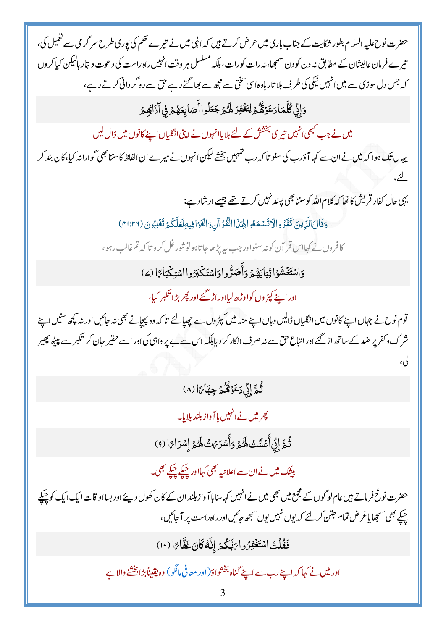حضرت نوح علیہ السلام بطور شکایت کے جناب باری میں عرض کرتے ہیں کہ الٰہی میں نے تیرے حکم کی یوری طرح سر گر می سے تغمیل کی، تیرے فرمان عالیشان کے مطابق نہ دن کو دن سمجھا،نہ رات کورات، ہلکہ مسلسل ہر وقت انہیں راہ راست کی دعوت دیتار ہالیکن کیاکروں کہ جس دل سوزی سے میں انہیں نیکی کی طرف بلا تار ہاوہ اس شخی سے مجھ سے بھاگتے رہے حق سے روگر دانی کرتے رہے،

<u>وَإِنِّي كُلَّمَا دَعَوَّقُكُمْ لِتَغْفِرَ لَهُمْ</u> جَعَلُواأَصَابِعَهُمْ فِي آذَاهِمْ

میں نے جب کبھی انہیں تیری بخشش کے لئے بلایاانہوں نے اپنی انگلیاں اپنے کانوں میں ڈال لیں

یہاں تک ہوا کہ میں نے ان سے کہا آؤرے کی سنو تا کہ رے تہہیں بخشے لیکن انہوں نے میر ے ان الفاظ کاسننا بھی گوارانہ کیا،کان بند کر

یہی جال کفار قریش کا تھا کہ کلام اللہ کو سننا بھی پسند نہیں کرتے تھے جیسے ارشاد ہے:

وَقَالَ الَّذِينَ كَفَرُوالِاتَسْمَعُوالِحِذَا الْقُرْآنِ وَالْغَوَافِيهِ لِعَلَّكُمْ تَغْلِبُونَ (٣١:٢٦)

كافروں نے كہااس قر آن كونہ سنواور جب سے پڑھاجا تاہو توشور غل كرو تاكہ تم غالب رہو،

وَاسْتَغْشَوْاثِيَابَهُمْ وَأَصَرُّوا وَاسْتَكْبَرُوا اسْتِكْبَاءًا (2)

اور اپنے کپڑ وں کواوڑھ لیااور اڑ گئے اور پھر بڑا تکبر کیا،

قوم نوح نے جہاں اپنے کانوں میں انگلیاں ڈالیں وہاں اپنے منہ میں کپڑ وں سے چھپالئے تا کہ وہ پہچانے بھی نہ جائیں اور نہ کچھ سنیں اپنے شرک وکفر پر ضد کے ساتھ اڑ گئے اور اتباع حق سے نہ صرف انکار کر دیابلکہ اس سے بے پر واہی کی اور اسے حقیر حان کر تکبر سے پیٹھ پھیر لی،

## ثُمَّ إِنِّي دَعَوْهُمْ جِهَاجًا (٨)

پھر میں نے انہیں با آواز بلند بلایا۔

ثُمَّ إِنِّي أَعْلَنُتُ لَهُمْ وَأَسْرَبْتُ لَهُمْ إِسْرَاءًا (٩)

بیشک میں نے ان سے اعلانیہ بھی کہااور چیکے چیکے بھی۔

حضرت نوحؓ فرماتے ہیں عام لو گوں کے مجمع میں بھی میں نے انہیں کہاسنایا آواز بلند ان کے کان کھول دیئے اور بسااو قات ایک ایک کو حیکے چیکے بھی سمجھایاغرض تمام حبتن کر لئے کہ یوں نہیں یوں سمجھ حائیں اور راہ راست پر آ جائیں،

فَقُلْتُ اسْتَغْفِرُوا يَتِّكُمْ إِنَّهُ كَانَ غَفَّاجَ ا (١٠)

اور میں نے کہا کہ اپنے رب سے اپنے گناہ بخشواؤ(اور معافی،انگو) وہ یقیناً بڑا بخشنے والا ہے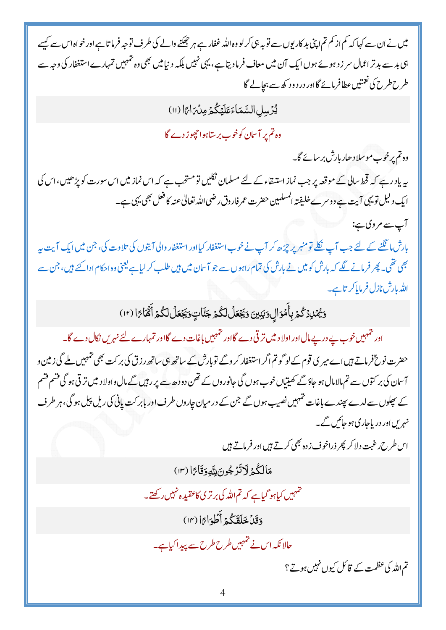میں نے ان سے کہا کہ کم از کم تم اپنی بد کار یوں سے توبہ ہی کرلو وہ اللہ غفار ہے ہر جھکنے والے کی طرف توجہ فرما تا ہے اور خواہ اس سے کہیے ہی بد سے بدتر اعمال سر زد ہوئے ہوں ایک آن میں معاف فرمادیتا ہے، یہی نہیں بلکہ دنیامیں بھی وہ تہہیں تمہارے استغفار کی وجہ سے طرح طرح کی نعمتیں عطافر مائے گااور درد و د کھ سے بحالے گا

يُّرِّسِلِ السَّمَاءَ عَلَيْكُمْ مِنْ مَامًا (١١)

وہ تم پر آسان کوخوب بر ساہوا حچوڑ دے گا

وہ تم پرخوب موسلا دھار بارش بر سانے گا۔

یہ ماد رہے کہ قحط سالی کے موقعہ پر جب نماز استیقاء کے لئے مسلمان نکلیں تومشحب ہے کہ اس نماز میں اس سورت کو پڑھیں،اس کی ا یک دلیل تویہی آیت ہے دوسرے خلیفتہ المسلمین حضرت عمر فاروق رضی اللہ تعالیٰ عنہ کا فعل بھی یہی ہے۔

آپ سے مروی ہے:

بارش مانگنے کے لئے جب آپ <u>نکل</u>ے تو منبر پر چڑھ کر آپ نے خوب استغفار کیااور استغفار والی آیتوں کی تلاوت کی، جن میں ایک آیت بہ بھی تھی۔ پھر فرمانے لگے کہ بارش کو میں نے بارش کی تمام راہوں سے جو آ سان میں ہیں طلب کر لیاہے یعنی وہ احکام ادا کئے ہیں، جن سے الله بارش نازل فرما پاکر تاہے۔

وَيُّهُلِدُكُمُ بِأَمُوَالِ وَبَنِينَ وَيَجْعَلُ لَكُمْ جَنَّاتٍ وَيَجْعَلُ لَكُمْ أَقَّمَاءًا (١٢)

اور تہہیںخوب بے در بے مال اور اولا دیں تر قی دے گااور تہہیں باغات دے گااور تمہارے لئے نہریں نکال دے گا۔ حضرت نوحؓ فرماتے ہیں اے میر ی قوم کے لوگو تم اگر استغفار کر وگے تو بارش کے ساتھ بی ساتھ رزق کی بر کت بھی تہہیں ملے گی زمین و آسان کی بر کتوں سے تم مالا مال ہو جاؤ گے کھیتیاں خوب ہوں گی جانوروں کے تھن دو دھ سے پر رہیں گے مال واولا د میں تر قی ہو گی قشم قشم کے پھلوں سے لدے پھندے باغات تہہیں نصیب ہوں گے جن کے در میان جاروں طرف اور بابر کت پانی کی ریل پیل ہو گی، ہر طرف نہریںاور دریاجاری ہو جائیں گے۔

اس طرح رغبت دلاکر پھر ذراخوف زدہ بھی کرتے ہیں اور فرماتے ہیں

مَالِكُمُ لَاتَّرْجُونَ لِلَّهِ دَقَاعَ! (١٣)

تتہہیں کیاہو گیاہے کہ تم اللہ کی برتر کی کاعقیبہ ہ نہیں رکھتے۔

وَقَلْ خَلَقَكُمْ أَطْوَارًا (١٣)

حالانکہ اس نے تہہیں طرح طرح سے پیدا کیاہے۔

تم اللہ کی عظمت کے قائل کیوں نہیں ہوتے؟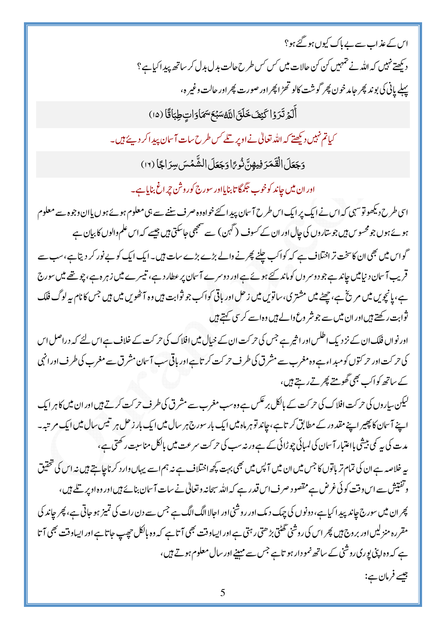اس کے عذاب سے بے پاک کیوں ہو گئے ہو؟ دیکھتے نہیں کہ اللہ نے تمہیں کن کن حالات میں کس کس طرح حالت بدل بدل کر ساتھ پید اکیاہے؟ پہلے پانی کی بو ند پھر جامد خون پھر گوشت کالو تھڑ اپھر اور صورت پھر اور حالت وغیر ہ،

أَلَمَ تَرَوُا كَيْفَ خَلَقَ اللَّهُ سَبْعَ سَمَاوَاتٍ طِبَاقًا (١٥)

کیاتم نہیں دیکھتے کہ اللہ تعالٰی نے اوپر تلے کس طرح سات آسان پید اکر دیئے ہیں۔

وَجَعَلَ الْقَمَرَ فِيهِنَّ نُوعًا وَجَعَلَ الشَّمْسَ سِرَاجًا (١٢)

اور ان میں جاند کوخوب حِمگا تا بنایااور سورج کوروش چراغ بنایاہے۔

اسی طرح دیکھوتوشہی کہ اس نے ایک پر ایک اس طرح آسان پیدا کئے خواہ وہ صرف سننے سے ہی معلوم ہوئے ہوں پاان وجوہ سے معلوم ہوئے ہوں جو محسوس ہیں جو ساروں کی جال اور ان کے کسوف ( گہن ) سے منتجھی جاسکتی ہیں جیسے کہ اس علم والوں کا بیان ہے گواس میں بھی ان کاسخت تر اختلاف ہے کہ کواکب چلنے پھرنے والے بڑے بڑے سات ہیں۔ایک ایک کوپے نور کر دیتاہے،سب سے قریب آسان د نیامیں جاند ہے جو دوسر وں کوماند کئے ہوئے ہے اور دوسرے آسان پر عطار دہے، تیسرے میں زہر ہ ہے، چو تھے میں سورج ہے، پانچویں میں مریخ ہے، چھٹے میں مشتری، ساتویں میں زحل اور باقی کواکب جو ثوابت ہیں وہ آٹھویں میں ہیں جس کا نام بیرلوگ فلک ثوابت رکھتے ہیں اور ان میں سے جو شر وع والے ہیں وہ اسے کر سی کہتے ہیں

اور نواں فلک ان کے نزد یک اطلس اور اثیر ہے جس کی حرکت ان کے خیال میں افلاک کی حرکت کے خلاف ہے اس لئے کہ دراصل اس کی حرکت اور حرکتوں کو مبد اءہے وہ مغرب سے مشرق کی طرف حرکت کر تاہے اور باقی سب آسان مشرق سے مغرب کی طرف اور انہی کے ساتھ کواک بھی گھومتے پھر تے رہتے ہیں،

لیکن ساروں کی حرکت افلاک کی حرکت کے بالکل بر عکس ہے وہ سب مغرب سے مشرق کی طرف حرکت کرتے ہیں اور ان میں کاہر ایک اپنے آسمان کا پھیر اپنے مقد ور کے مطابق کرتاہے،جاند تو ہر ماہ میں ایک بار سورج ہر سال میں ایک بار زحل ہر تیس سال میں ایک مرتبہ۔ مدت کی ہے کی بیشی بااعتبار آسان کی لمبائی چوڑائی کے ہے ورنہ سب کی حر کت سرعت میں بالکل مناسبت رکھتی ہے، پہ خلاصہ ہے ان کی تمام تر باتوں کا جس میں ان میں آپس میں بھی بہت کچھ اختلاف ہے نہ ہم اسے یہاں دار د کر ناچاہتے ہیں نہ اس کی تحقیق وتفتیش سے اس وقت کوئی غرض ہے مقصود صرف اس قدر ہے کہ اللہ سبحانہ وتعالیٰ نے سات آسان بنائے ہیں اور وہ اوپر تلے ہیں،

پھر ان میں سورج جاند پید اکیاہے، دونوں کی چیک دیک اور روشنی اور احالا الگ الگ ہے جس سے دن رات کی تمیز ہو حاتی ہے ، پھر جاند کی مقررہ منزلیں اور بر وج ہیں پھر اس کی روشنی تھٹتی بڑ ھتی رہتی ہے اور ایساوقت بھی آ تا ہے کہ وہ بالکل حچیپ حاتا ہے اور ایساوقت بھی آتا ہے کہ وہ اپنی یوری روشنی کے ساتھ نمو دار ہو تاہے جس سے مہینے اور سال معلوم ہوتے ہیں،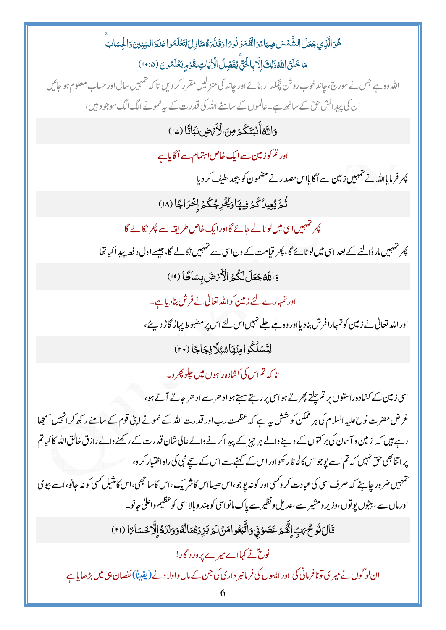ۿؙۅؘالَّذِى جَعَلَ الشَّمْسَ ضِيَاءًوَالْقَمَرَ نُوعًا وَقَلَّ هُمَنَازِلَ لِتَعْلَمُوا عَدَدَالسِّنِينَ وَالْحِسَابَ مَاخَلَقَ اللَّهُ زَلِكَ إِلَّا بِالْحُقِّ يُفَصِّلُ الْآيَاتِ لِقَوۡمِ يَعۡلَمُونَ (١٠:٥) اللہ وہ ہے جس نے سورج،حاند خوب روش چمکد اربنائے اور جاند کی منز لیں مقرر کر دیں تا کہ تہہیں سال اور حساب معلوم ہو جائیں ان کی پیدائش حق کے ساتھ ہے۔عالموں کے سامنے اللہ کی قدرت کے بہ نمونے الگ الگ موجود ہیں، وَاللَّهُ أَنۡبُتَكُمۡ مِنَ الۡأَرۡضِ نَبَاتًا (١٤) اور تم کو زمین سے ایک خاص اہتمام سے اُگاپاہے پھر فرمایااللہ نے تہہیں زمین سے اُگا پاس مصدر نے مضمون کو بیچدلطیف کر دیا ثُمَّ يُعِينُ كُمَرْ فِيهَا دَيُّخْرِ جُكُمَّ إِخْرَاجًا (١٨) پھر تہہیں اسی میں لوٹالے جائے گااور ایک خاص طریقہ سے پھر نکالے گا پھر تہہیںمار ڈالنے کے بعد اسی میں لوٹائے گا، پھر قیامت کے دن اسی سے تہہیں نکالے گا، جیسے اول د فعہ پیدا کیاتھا وَاللَّهُجَعَلَ لَكُمُ الْأَيْهَنَ بِسَاطًا (١٩) اور تمہارے لئے زمین کواللہ تعالیٰ نے فرش بناد پاہے۔ اور اللہ تعالیٰ نے زمین کو تمہارافرش بنادیااور وہ بلے جلے نہیں اس لئے اس پر مضبوط پہاڑ گاڑ دیئے، لِتَسْلُكُوامِنْهَاسُلَافِجَاجًا (٢٠) تا که تم اس کی کشاده راہوں میں چلو پھر و۔ اسی زمین کے کشادہ راستوں پر تم چلتے پھرتے ہواسی پر رہتے سہتے ہواد حر سے اد حر جاتے آتے ہو، غرض حضرت نوح علیہ السلام کی ہر ممکن کوشش ہے ہے کہ عظمت رب اور قدرت اللہ کے نمونے اپنی قوم کے سامنے رکھ کر انہیں سمجھا رہے ہیں کہ زمین و آسان کی بر کتوں کے دینے والے ہر چیز کے پیدا کرنے والے عالی شان قدرت کے رکھنے والے رازق خالق الله كا كياتم یر اتنائجی حق نہیں کہ تم اسے یوجواس کالحاظ رکھواور اس کے کہنے سے اس کے سیچ نبی کی راہ اختیار کر و، تہہیں ضر ور جاپئے کہ صرف اسی کی عبادت کر دکسی اور کو نہ یوجو،اس حبیبااس کاشر یک ،اس کاسا جھی،اس کامنٹیل کسی کونہ جانو،اسے بیوی اورماں سے ، بیٹوں یو توں،وزیر و مشیر سے ،عدیل و نظیر سے پاک مانو اسی کو بلند و بالا اسی کو عظیم واعلیٰ جانو۔ قَالَ نُوحٌ مَبِّ إِنَّهُمْ عَصَوۡ نِ وَاتَّبَعُو امَنۡ لَمۡ يَزِدۡهُمَالُهُوَوَلَدُهُۚ إِلَّا حَسَاءًا (٢١) نوٹ نے کہااے میرے پر درد گار! ان لو گوں نے میر ی تونافر مانی کی اور ایسوں کی فرمانبر داری کی جن کے مال واولا دنے (پقیناً) نقصان ہی میں بڑھایاہے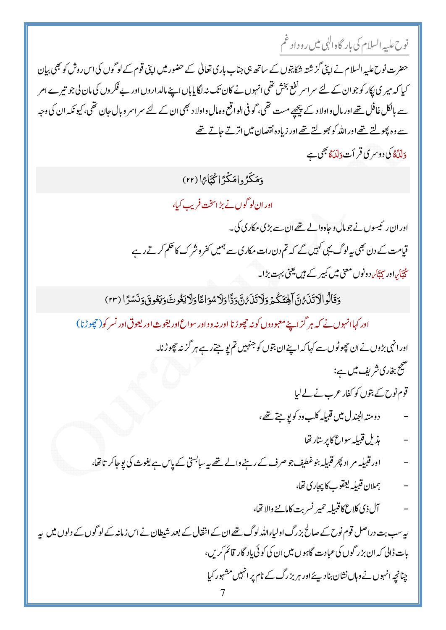نوح عليه السلام کی بار گاه الٰہی میں روداد غم

حضرت نوح علیہ السلام نے اپنی گزشتہ شکایتوں کے ساتھ ہی جناب باری تعالیٰ کے حضور میں اپنی قوم کے لوگوں کی اس روش کو بھی بیان کیا کہ میر کی پکار کو جو ان کے لئے سر اسر نفع بخش تھی انہوں نے کان تک نہ لگایاہاں اپنے مالد اروں اور بے فکر وں کی مان لی جو تیرے امر سے بالکل غافل تھے اور مال واولا د کے پیچھے مست تھی، گو فی الواقع وہ مال واولا د بھی ان کے لئے سر اسر و بال جان تھی، کیو نکہ ان کی وجہ سے وہ پھولتے تھے اور اللہ کو بھولتے تھے اور زیادہ نقصان میں اتر تے جاتے تھے دلکنگاکی دوسری قر أت دَلکنگا بھی ہے

دَمَكَرُ وامَكَّدَّ اِكْتَاجَا (٢٢)

اور ان لو گوں نے بڑاسخت فریب کیا،

اور ان رئیسوں نے جومال و جاہ دالے تھے ان سے بڑی مکاری کی۔ قیامت کے دن بھی بیہ لوگ یہی کہیں گے کہ تم دن رات مکاری سے ہمیں کفر وشر ک کا حکم کرتے رہے جُتَار،اور <sub>کتت</sub>َا<sub>ں</sub> دونوں معنی میں کبیر کے ہیں یعنی بہت بڑا۔

دَقَالُوالْآتَنِينُ۞ آهِيَٓكُمۡ وَلَا تَنۡبُنُ۞وَدًّاوَلَاسُوَاعَاوَلَا يَغُوتَ وَيَعُوقَ وَنَسۡمَرَا (٢٣)

اور کہاانہوں نے کہ ہر گزاپنے معبو دوں کونہ چچوڑنا اور نہ ود اور سواع اور یغوث اور یعوق اور نسر کو( حچھوڑنا)

اور انہی بڑوں نے ان حچھوٹوں سے کہا کہ اپنے ان بتوں کو جنہیں تم پو جتے رہے ہر گزنہ حچھوڑنا۔ صحیح بخاری شریف میں ہے:

قوم نوح کے بتوں کو کفار عرب نے لے لیا

- دومته الجندل ميں قبيلہ كلب ود كو پو جتے تھے،
	- مذيل قبيله سواع كاير سارتفا
- اور قبیلہ مر اد پھر قبیلہ بنوغطیف جو صرف کے رہنے والے تھے یہ سابستی کے پاس ہے یغوث کی یوجا کر تاتھا،
	- ىملان قىبلەلچقوپ كاپچارى تقا،
	- آل ذي كلاع كاقبيليه حمير نسربت كامانخ والاتھا،  $\frac{1}{2}$

پیرسب بت دراصل قوم نوح کے صالح بزرگ اولیاءاللہ لوگ تھے ان کے انتقال کے بعد شیطان نے اس زمانہ کے لوگوں کے دلوں میں پیر بات ڈالی کہ ان بزر گوں کی عبادت گاہوں میں ان کی کوئی یاد گار قائم کریں، چنانچہ انہوں نے وہاں نشان بنادیئے اور ہر بزرگ کے نام پر انہیں مشہور کیا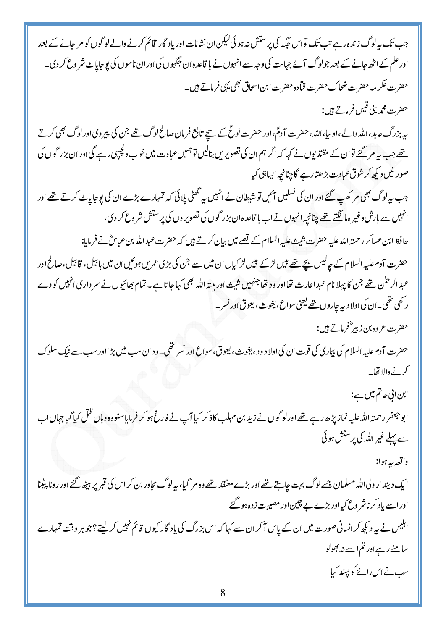جب تک پیرلوگ زندہ رہے تب تک تواس حگیہ کی پرستش نہ ہوئی کیکن ان نشانات اور یاد گار قائم کرنے والے لوگوں کو مر حانے کے بعد اور علم کے اٹھ جانے کے بعد جولوگ آئے جہالت کی وجہ سے انہوں نے با قاعدہ ان جگہوں کی اور ان ناموں کی یو جاپاٹ شر وع کر دی۔ حضرت عکر مہ حضرت ضحاک حضرت قیادہ حضرت ابن اسحاق بھی یہی فرماتے ہیں۔ حضرت محمه بني قيس فرماتے ہيں: پیربزرگ عابد،اللّٰہ والے،اولیاءاللّٰہ،حضرت آدمٌ،اور حضرت نوحٌ کے سیّج تابع فرمان صالح لوگ تھے جن کی پیروی اورلوگ بھی کرتے تھے جب پی*ہ مر* گئے توان کے مقتد یوں نے کہا کہ اگر ہم ان کی تصویریں بنالیں تو ہمیں عبادت میں خوب دلچپیں رہے گی اور ان بزر گوں کی صورتیں دیکھ کرشوق عبادت بڑھتارہے گا چنانچہ ایساہی کیا جب بیرلوگ بھی مر کھپ گئے اور ان کی نسلیں آئیں تو شیطان نے انہیں بیر تھٹی پلائی کہ تمہارے بڑے ان کی یوجا پاٹ کرتے تھے اور انہیں سے بارش وغیر ہا نگتے تھے چنانچہ انہوں نے اب با قاعدہ ان بزر گوں کی تصویر وں کی پرستش شر وع کر دی، حافظ ابن عساكر رحمتہ اللہ عليہ حضرت شيث عليہ السلام كے قصے ميں بيان كرتے ہيں كہ حضرت عبد اللہ بن عباسٌ نے فرمايا: حضرت آدم علیہ السلام کے جالیس بچے تھے <del>بی</del>ں لڑکے <del>بی</del>ں لڑ کیاں ان میں سے جن کی بڑی عمریں ہوئیں ان میں ہائیل، قائیل،صالح اور عبد الرحمٰن تھے جن کا پہلا نام عبد الحارث تھااور ود تھا جنہیں شیث اور ہیتہ اللہ بھی کہا جا تاہے۔ تمام بھائیوں نے سر داری انہیں کو دے ر تھی تھی۔ان کی اولا دیہ جاروں تھے لیجنی سواع، یغوث، یعوق اور نسر۔ حضرت عروه بن زبیر ؓفرماتے ہیں: حضرت آدم علیہ السلام کی بیماری کی قوت ان کی اولاد ود ، یغوث ، یعوق، سواع اور نسر تھی۔ ود ان سب میں بڑ ااور سب سے نیک سلوک كرنے والا تفایہ ابن الی حاتم میں ہے: ابو جعفر رحمتہ اللہ علیہ نماز پڑھ رہے تھے اورلو گوں نے زید بن مہلب کاذ کر کیا آپ نے فارغ ہو کر فرمایاسنو وہ دہاں فتل کیا گیا جہاں اب سے پہلے غیر اللہ کی پرستش ہوئی واقعه بهربوا: ا یک دیند ار ولی اللہ مسلمان جسے لوگ بہت جاہتے تھے اور بڑے معتقد تھے وہ مر گیا، بیہ لوگ مجاور بن کر اس کی قبر پر بیٹھ گئے اور رونا پیٹینا اور اسے یاد کرناشر وع کیااور بڑے بے چین اور مصیبت ز دہ ہو گئے ابلیس نے بیرد کپھ کر انسانی صورت میں ان کے پاس آ کر ان سے کہا کہ اس بزرگ کی یاد گار کیوں قائم نہیں کرلیتے؟جو ہر وقت تمہارے سامنے رہے اور تم اسے نہ بھولو سپ نے اس رائے کوپسند کیا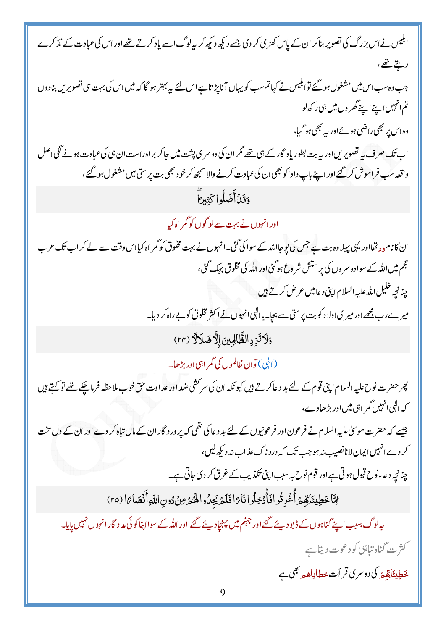| ابلیس نے اس بزرگ کی تصویر بناکر ان کے پاس کھڑی کر دی جسے دیکھ دیکھ کر بیہ لوگ اسے یاد کرتے تھے اور اس کی عبادت کے تذکرے               |
|---------------------------------------------------------------------------------------------------------------------------------------|
| ريتے تھے،                                                                                                                             |
| جب وہ سب اس میں مشغول ہو گئے توابلیس نے کہاتم سب کو یہاں آناپڑ تاہے اس لئے پیہ بہتر ہو گا کہ میں اس کی بہت سی تصویریں بنادوں          |
| تم انہیں اپنے اپنے گھر وں میں ہی رکھ لو                                                                                               |
| وہ اس پر بھی راضی ہوئے اور پہ بھی ہو گیا،                                                                                             |
| اب تک صرف بی <i>ہ تصویری</i> ں اور بیہ بت بطور یاد گار کے ہی تھے مگر ان کی دوسر ی پشت میں جاکر بر اہ راست ان ہی کی عبادت ہونے گلی اصل |
| واقعہ سب فراموش کر گئے اور اپنے باپ داداکو بھی ان کی عبادت کرنے والا سمجھ کر خو د بھی بت پر ستی میں مشغول ہو گئے،                     |
| وَقَدۡأَضَلُّواکَثِيرَآ                                                                                                               |
| اور انہوں نے بہت سے لو گوں کو گمر اہ کیا                                                                                              |
| ان کانام دد تھااور یہی پہلاوہ بت ہے جس کی پوجااللہ کے سوا کی گئی۔انہوں نے بہت مخلوق کو گمر اہ کیااس وقت سے لے کر اب تک عرب            |
| عجم میں اللہ کے سواد وسر وں کی پر ستش شر وع ہو گئی اور اللہ کی مخلوق بہک گئی،                                                         |
| چنانچه خلیل الله علیه السلام اپنی د عامیں عرض کرتے ہیں                                                                                |
| میرے رب مجھے اور میر کی اولاد کو بت پر ستی سے بچا۔ یاالہٰی انہوں نے اکثر مخلوق کو بے راہ کر دیا۔                                      |
| وَلَاتَزِدِ الظَّالِمِينَ إِلَّاضَلَالَ (٢٢)                                                                                          |
| (البی) توان ظالموں کی گمر اہی اور بڑھا۔                                                                                               |
| پھر حضرت نوح علیہ السلام اپنی قوم کے لئے بد د عاکرتے ہیں کیونکہ ان کی سرکشی ضد اور عد اوت حق خوب ملاحظہ فرماچکے تھے تو کہتے ہیں       |
| کہ الٰہی انہیں گمر اہی میں اور بڑھادے،                                                                                                |
| جیسے کہ حضرت موسیٰ علیہ السلام نے فرعون اور فرعونیوں کے لئے بد دعا کی تھی کہ پرورد گار ان کے مال تباہ کر دے اور ان کے دل سخت          |
| کر دے انہیں ایمان لانانصیب نہ ہو جب تک کہ در د ناک عذ اب نہ دیکھ <sup>لی</sup> ں،                                                     |
| چنانچہ دعاءنوح قبول ہوتی ہے اور قوم نوح ہہ سبب اپنی تکذیب کے غرق کر دی جاتی ہے۔                                                       |
| مِمَّا خَطِيئَاقِهِمْ أُغُرِقُوا فَأَدْخِلُوا نَارًا فَلَمْ يَجِدُوا الْهُمْ مِنْ دُونِ اللَّهِ أَنْصَارًا (٢٥)                       |
| یہ لوگ بسبب اپنے گناہوں کے ڈبو دیئے گئے اور جہنم <b>میں پ</b> ہنچاد پئے گئے  اور اللہ کے سوااپناکوئی مد د گار انہوں نہیں پایا۔        |
| کش ہے گناہ تباہی کو دعوت دیتا ہے                                                                                                      |
| ځطِيئَاقِيمْهُ کی دوسری قر اَت خطاياه <sub>م</sub> ج <sub>َ</sub> مِي ہ                                                               |
|                                                                                                                                       |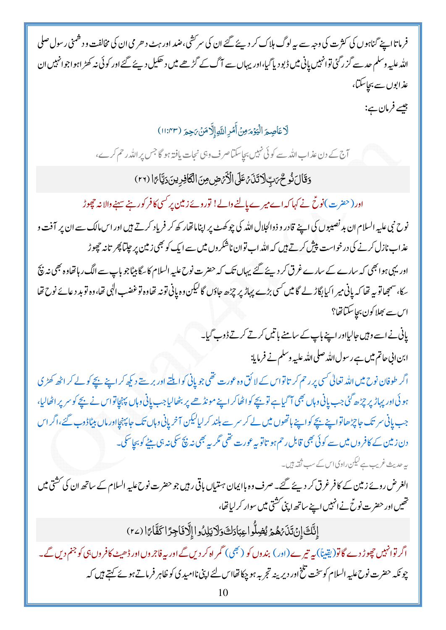فرما تااپنے گناہوں کی کثرت کی وجہ سے بیہ لوگ ہلاک کر دیئے گئے ان کی سرکشی،ضد اور ہٹ د حرمی ان کی مخالفت و دشمنی ر سول صلی اللہ علیہ وسلم حد سے گزر گئی توانہیں پانی میں ڈیو دیا گیا،اور یہاں سے آگ کے گڑھے میں دھکیل دیئے گئے اور کوئی نہ کھڑ اہو اجوانہیں ان عذابوں سے بجاسکتا،

جيسے فرمان ہے:

لَاعَاصِمَ الْيَوْمَ مِنْ أَمْرِ اللَّهِ إِلَّا مَنْ يَجِمَ (١١:٣٣)

آج کے دن عذاب اللہ سے کوئی نہیں بچاسکتاصر ف وہی نجات یافتہ ہو گا جس پر اللہ رحم کرے،

وَقَالَ نُوحٌ مَبِ لَا تَذَى عَلَى الْأَيْرَضِ مِنَ الْكَافِرِينَ دَيَّامًا (٢٢)

اور (حضرت)نوحٌ نے کہا کہ اے میرے پالنے والے! توروئے زمین پر کسی کافر کورہنے سہنے والانہ حچھوڑ

نوح نبي عليه السلام ان بد نصيبوں کی اپنے قادر و ذوالجلال الله کی چوکھٹ پر اپناماتھار کھ کر فریاد کرتے ہیں اور اس مالک سے ان پر آفت و عذاب نازل کرنے کی درخواست پپش کرتے ہیں کہ اللہ اب توان ناشکر وں میں سے ایک کو بھی زمین پر چپتا پھر تانہ حچوڑ اور یہی ہوا بھی کہ سارے کے سارے غرق کر دیئے گئے یہاں تک کہ حضرت نوح علیہ السلام کا سگا بیٹاجو باپ سے الگ رہاتھاوہ بھی نہ بنچ سکا، سمجھاتو بیہ تھا کہ پانی میر اکیابگاڑ لے گا میں <sup>کس</sup>ی بڑے پہاڑ پر چڑھ جاؤں گالیکن وہ پانی تونہ تھاوہ توغضب ال<sub>ک</sub>ی تھا، وہ توبد دعائے نوح تھا اس سے بھلاکون بجاسکتاتھا؟

پانی نے اسے وہیں جالیااور اپنے باپ کے سامنے باتیں کرتے کرتے ڈوپ گیا۔

ابن ابی حاتم میں ہے رسول اللہ صلی اللہ علیہ وسلم نے فرمایا:

اگر طوفان نوح میں اللہ تعالی *کسی پر د*حم کر تا تواس کے لا کق وہ عورت تھی جو پانی کو ایلتے اور بر ستے دیکھ کر اپنے بچے کو لے کر اٹھ کھڑی ہو ئی اور پہاڑ پر چڑھ گئی جب پانی وہاں بھی آ گیاہے تو بچے کواٹھاکر اپنے مونڈ ھے پر بٹھالیاجب پانی وہاں پہنچاتواس نے بچے کو سر پر اٹھالیا، جب پانی سر تک جاچڑھاتوا پنے بچے کواپنے ہاتھوں میں لے کر سرے بلند کر لیالیکن آخر پانی وہاں تک جا پہنچااور ماں بیٹاڈوب گئے،اگراس دن زمین کے کافروں میں سے کوئی بھی قابل رحم ہو تاتو پہ عورت تھی مگر <sub>س</sub>ے بھی نہ نچ سکی نہ ہی بیٹے کو بچاسکی۔ یہ حدیث غریب ہے لیکن راوی اس کے سب ثقہ ہیں۔

الغرض روئے زمین کے کافر غرق کر دیئے گئے۔ صرف وہ باایمان ہستیاں باقی رہیں جو حضرت نوح علیہ السلام کے ساتھ ان کی کشتی میں تھیں اور حضرت نوحؓ نے انہیں اپنے ساتھ اپنی کشتی میں سوار کر لیاتھا،

إِنَّكَ إِنَ تَذَبَّهُمْ يُضِلُّوا عِبَادَكَ وَلَا يَلِدُوا إِلَّا فَاجِرًا كَفَّامًا (٢٤)

اگر توانہیں چھوڑ دے گاتو(یقیناً) بیہ تیرے(اور) بندوں کو (بھی) گمر اہ کر دیں گے اور بیہ فاجروںاور ڈھیٹ کافروں ہی کو جنم دیں گے۔ چو نکہ حضرت نوح علیہ السلام کوسخت تلخ اور دیرینہ تجربہ ہو چکا تھااس لئے اپنی ناامید کی کو ظاہر فرماتے ہوئے کہتے ہیں کہ